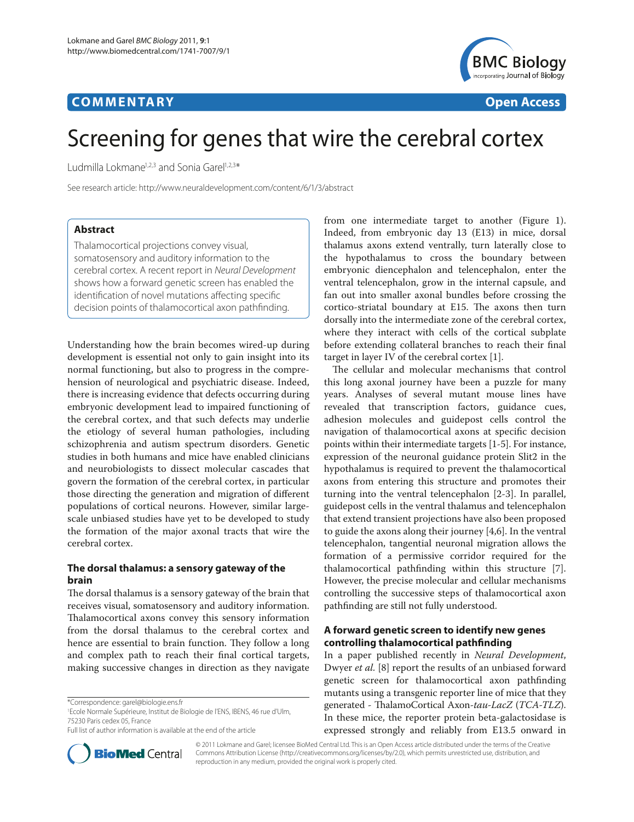## **COMMENTARY COMMENTARY Open Access**



# Screening for genes that wire the cerebral cortex

Ludmilla Lokmane<sup>1,2,3</sup> and Sonia Garel<sup>1,2,3\*</sup>

See research article: http://www.neuraldevelopment.com/content/6/1/3/abstract

## **Abstract**

Thalamocortical projections convey visual, somatosensory and auditory information to the cerebral cortex. A recent report in *Neural Development* shows how a forward genetic screen has enabled the identification of novel mutations affecting specific decision points of thalamocortical axon pathfinding.

Understanding how the brain becomes wired-up during development is essential not only to gain insight into its normal functioning, but also to progress in the comprehension of neurological and psychiatric disease. Indeed, there is increasing evidence that defects occurring during embryonic development lead to impaired functioning of the cerebral cortex, and that such defects may underlie the etiology of several human pathologies, including schizophrenia and autism spectrum disorders. Genetic studies in both humans and mice have enabled clinicians and neurobiologists to dissect molecular cascades that govern the formation of the cerebral cortex, in particular those directing the generation and migration of different populations of cortical neurons. However, similar largescale unbiased studies have yet to be developed to study the formation of the major axonal tracts that wire the cerebral cortex.

## **The dorsal thalamus: a sensory gateway of the brain**

The dorsal thalamus is a sensory gateway of the brain that receives visual, somatosensory and auditory information. Thalamocortical axons convey this sensory information from the dorsal thalamus to the cerebral cortex and hence are essential to brain function. They follow a long and complex path to reach their final cortical targets, making successive changes in direction as they navigate

1 Ecole Normale Supérieure, Institut de Biologie de l'ENS, IBENS, 46 rue d'Ulm, 75230 Paris cedex 05, France

Full list of author information is available at the end of the article



from one intermediate target to another (Figure 1). Indeed, from embryonic day 13 (E13) in mice, dorsal thalamus axons extend ventrally, turn laterally close to the hypothalamus to cross the boundary between embryonic diencephalon and telencephalon, enter the ventral telencephalon, grow in the internal capsule, and fan out into smaller axonal bundles before crossing the cortico-striatal boundary at E15. The axons then turn dorsally into the intermediate zone of the cerebral cortex, where they interact with cells of the cortical subplate before extending collateral branches to reach their final target in layer IV of the cerebral cortex [1].

The cellular and molecular mechanisms that control this long axonal journey have been a puzzle for many years. Analyses of several mutant mouse lines have revealed that transcription factors, guidance cues, adhesion molecules and guidepost cells control the navigation of thalamocortical axons at specific decision points within their intermediate targets [1-5]. For instance, expression of the neuronal guidance protein Slit2 in the hypothalamus is required to prevent the thalamocortical axons from entering this structure and promotes their turning into the ventral telencephalon [2-3]. In parallel, guidepost cells in the ventral thalamus and telencephalon that extend transient projections have also been proposed to guide the axons along their journey [4,6]. In the ventral telencephalon, tangential neuronal migration allows the formation of a permissive corridor required for the thalamocortical pathfinding within this structure [7]. However, the precise molecular and cellular mechanisms controlling the successive steps of thalamocortical axon pathfinding are still not fully understood.

## **A forward genetic screen to identify new genes controlling thalamocortical pathfinding**

In a paper published recently in *Neural Development*, Dwyer *et al.* [8] report the results of an unbiased forward genetic screen for thalamocortical axon pathfinding mutants using a transgenic reporter line of mice that they generated - ThalamoCortical Axon-*tau-LacZ* (*TCA-TLZ*). In these mice, the reporter protein beta-galactosidase is expressed strongly and reliably from E13.5 onward in

© 2011 Lokmane and Garel; licensee BioMed Central Ltd. This is an Open Access article distributed under the terms of the Creative Commons Attribution License (http://creativecommons.org/licenses/by/2.0), which permits unrestricted use, distribution, and reproduction in any medium, provided the original work is properly cited.

<sup>\*</sup>Correspondence: garel@biologie.ens.fr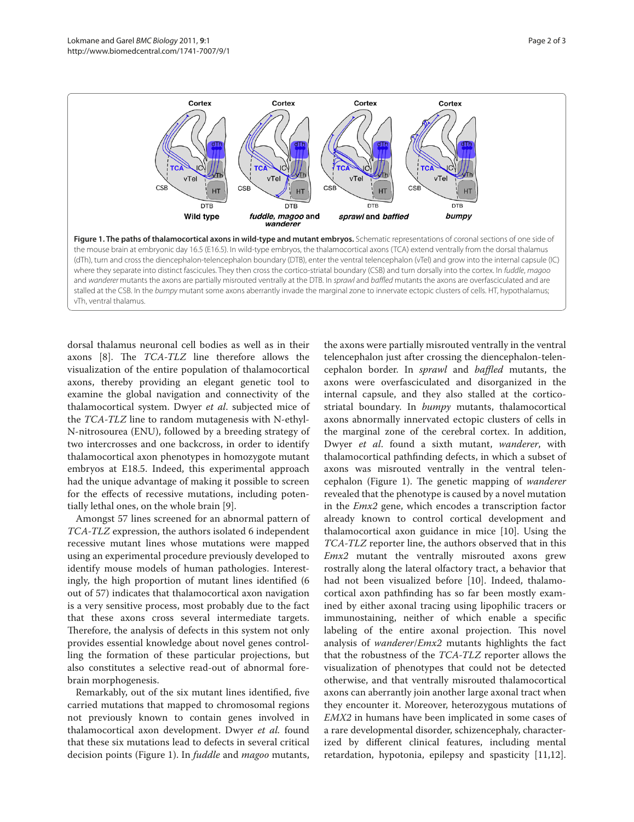

dorsal thalamus neuronal cell bodies as well as in their axons [8]. The *TCA-TLZ* line therefore allows the visualization of the entire population of thalamocortical axons, thereby providing an elegant genetic tool to examine the global navigation and connectivity of the thalamocortical system. Dwyer *et al*. subjected mice of the *TCA-TLZ* line to random mutagenesis with N-ethyl-N-nitrosourea (ENU), followed by a breeding strategy of two intercrosses and one backcross, in order to identify thalamocortical axon phenotypes in homozygote mutant embryos at E18.5. Indeed, this experimental approach had the unique advantage of making it possible to screen for the effects of recessive mutations, including potentially lethal ones, on the whole brain [9].

Amongst 57 lines screened for an abnormal pattern of *TCA-TLZ* expression, the authors isolated 6 independent recessive mutant lines whose mutations were mapped using an experimental procedure previously developed to identify mouse models of human pathologies. Interestingly, the high proportion of mutant lines identified (6 out of 57) indicates that thalamocortical axon navigation is a very sensitive process, most probably due to the fact that these axons cross several intermediate targets. Therefore, the analysis of defects in this system not only provides essential knowledge about novel genes controlling the formation of these particular projections, but also constitutes a selective read-out of abnormal forebrain morphogenesis.

Remarkably, out of the six mutant lines identified, five carried mutations that mapped to chromosomal regions not previously known to contain genes involved in thalamocortical axon development. Dwyer *et al.* found that these six mutations lead to defects in several critical decision points (Figure 1). In *fuddle* and *magoo* mutants,

the axons were partially misrouted ventrally in the ventral telencephalon just after crossing the diencephalon-telencephalon border. In *sprawl* and *baffled* mutants, the axons were overfasciculated and disorganized in the internal capsule, and they also stalled at the corticostriatal boundary. In *bumpy* mutants, thalamocortical axons abnormally innervated ectopic clusters of cells in the marginal zone of the cerebral cortex. In addition, Dwyer *et al*. found a sixth mutant, *wanderer*, with thalamocortical pathfinding defects, in which a subset of axons was misrouted ventrally in the ventral telencephalon (Figure 1). The genetic mapping of *wanderer* revealed that the phenotype is caused by a novel mutation in the *Emx2* gene, which encodes a transcription factor already known to control cortical development and thalamocortical axon guidance in mice [10]. Using the *TCA-TLZ* reporter line, the authors observed that in this *Emx2* mutant the ventrally misrouted axons grew rostrally along the lateral olfactory tract, a behavior that had not been visualized before [10]. Indeed, thalamocortical axon pathfinding has so far been mostly examined by either axonal tracing using lipophilic tracers or immunostaining, neither of which enable a specific labeling of the entire axonal projection. This novel analysis of *wanderer*/*Emx2* mutants highlights the fact that the robustness of the *TCA-TLZ* reporter allows the visualization of phenotypes that could not be detected otherwise, and that ventrally misrouted thalamocortical axons can aberrantly join another large axonal tract when they encounter it. Moreover, heterozygous mutations of *EMX2* in humans have been implicated in some cases of a rare developmental disorder, schizencephaly, characterized by different clinical features, including mental retardation, hypotonia, epilepsy and spasticity [11,12].